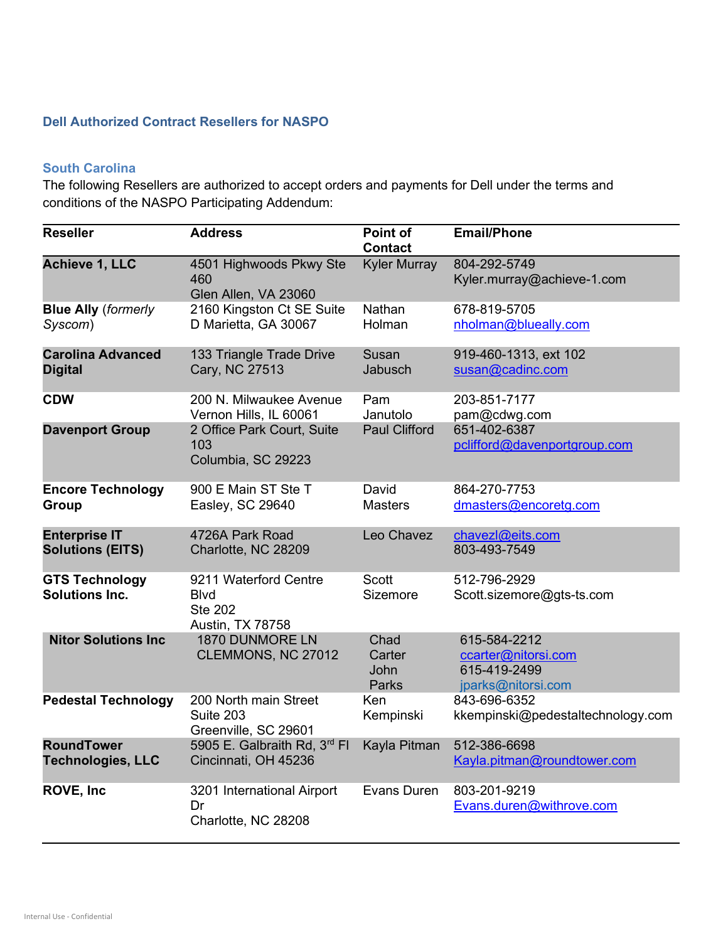## Dell Authorized Contract Resellers for NASPO

## South Carolina

The following Resellers are authorized to accept orders and payments for Dell under the terms and conditions of the NASPO Participating Addendum:

| <b>Reseller</b>                                 | <b>Address</b>                                                             | Point of<br><b>Contact</b>             | <b>Email/Phone</b>                                                        |
|-------------------------------------------------|----------------------------------------------------------------------------|----------------------------------------|---------------------------------------------------------------------------|
| <b>Achieve 1, LLC</b>                           | 4501 Highwoods Pkwy Ste<br>460<br>Glen Allen, VA 23060                     | <b>Kyler Murray</b>                    | 804-292-5749<br>Kyler.murray@achieve-1.com                                |
| <b>Blue Ally (formerly</b><br>Syscom)           | 2160 Kingston Ct SE Suite<br>D Marietta, GA 30067                          | Nathan<br>Holman                       | 678-819-5705<br>nholman@blueally.com                                      |
| <b>Carolina Advanced</b><br><b>Digital</b>      | 133 Triangle Trade Drive<br>Cary, NC 27513                                 | Susan<br>Jabusch                       | 919-460-1313, ext 102<br>susan@cadinc.com                                 |
| <b>CDW</b>                                      | 200 N. Milwaukee Avenue<br>Vernon Hills, IL 60061                          | Pam<br>Janutolo                        | 203-851-7177<br>pam@cdwg.com                                              |
| <b>Davenport Group</b>                          | 2 Office Park Court, Suite<br>103<br>Columbia, SC 29223                    | <b>Paul Clifford</b>                   | 651-402-6387<br>pclifford@davenportgroup.com                              |
| <b>Encore Technology</b><br>Group               | 900 E Main ST Ste T<br>Easley, SC 29640                                    | David<br><b>Masters</b>                | 864-270-7753<br>dmasters@encoretg.com                                     |
| <b>Enterprise IT</b><br><b>Solutions (EITS)</b> | 4726A Park Road<br>Charlotte, NC 28209                                     | Leo Chavez                             | chavezl@eits.com<br>803-493-7549                                          |
| <b>GTS Technology</b><br><b>Solutions Inc.</b>  | 9211 Waterford Centre<br><b>Blvd</b><br><b>Ste 202</b><br>Austin, TX 78758 | <b>Scott</b><br>Sizemore               | 512-796-2929<br>Scott.sizemore@gts-ts.com                                 |
| <b>Nitor Solutions Inc</b>                      | 1870 DUNMORE LN<br>CLEMMONS, NC 27012                                      | Chad<br>Carter<br>John<br><b>Parks</b> | 615-584-2212<br>ccarter@nitorsi.com<br>615-419-2499<br>jparks@nitorsi.com |
| <b>Pedestal Technology</b>                      | 200 North main Street<br>Suite 203<br>Greenville, SC 29601                 | Ken<br>Kempinski                       | 843-696-6352<br>kkempinski@pedestaltechnology.com                         |
| <b>RoundTower</b><br><b>Technologies, LLC</b>   | 5905 E. Galbraith Rd, 3rd Fl<br>Cincinnati, OH 45236                       | Kayla Pitman                           | 512-386-6698<br>Kayla.pitman@roundtower.com                               |
| <b>ROVE, Inc.</b>                               | 3201 International Airport<br>Dr<br>Charlotte, NC 28208                    | Evans Duren                            | 803-201-9219<br>Evans.duren@withrove.com                                  |